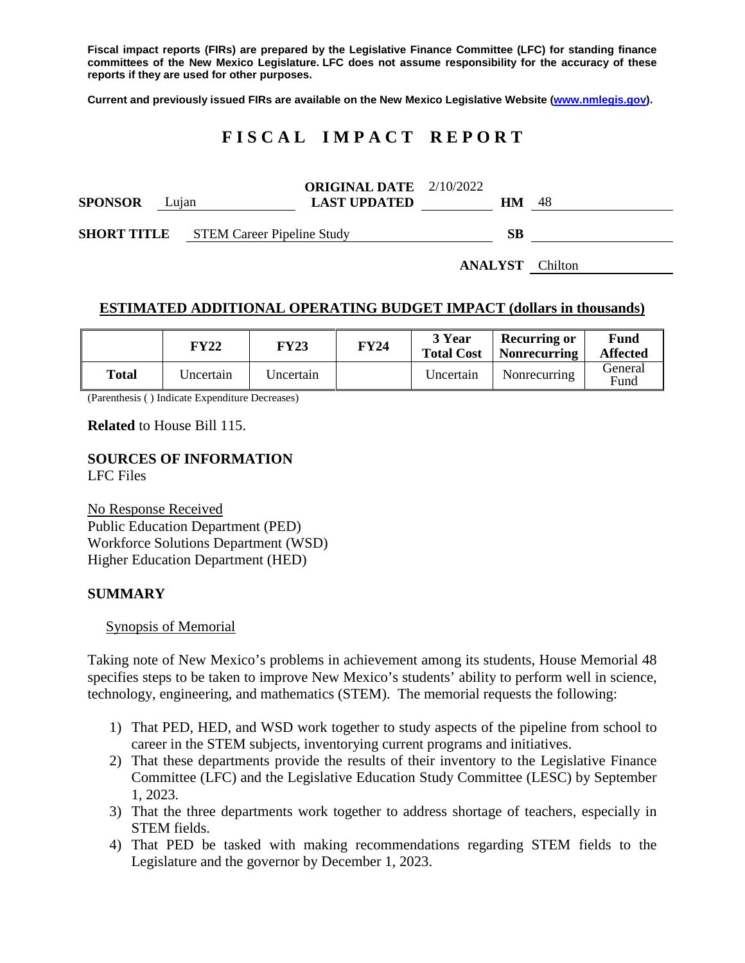**Fiscal impact reports (FIRs) are prepared by the Legislative Finance Committee (LFC) for standing finance committees of the New Mexico Legislature. LFC does not assume responsibility for the accuracy of these reports if they are used for other purposes.**

**Current and previously issued FIRs are available on the New Mexico Legislative Website [\(www.nmlegis.gov\)](http://www.nmlegis.gov/).**

# **F I S C A L I M P A C T R E P O R T**

| <b>SPONSOR</b> | Lujan |                                               | <b>ORIGINAL DATE</b> $2/10/2022$<br><b>LAST UPDATED</b> | HМ | 48 |
|----------------|-------|-----------------------------------------------|---------------------------------------------------------|----|----|
|                |       | <b>SHORT TITLE</b> STEM Career Pipeline Study |                                                         | SВ |    |

**ANALYST** Chilton

# **ESTIMATED ADDITIONAL OPERATING BUDGET IMPACT (dollars in thousands)**

|       | FY22      | FY23      | <b>FY24</b> | 3 Year<br><b>Total Cost</b> | Recurring or<br>Nonrecurring | Fund<br><b>Affected</b> |
|-------|-----------|-----------|-------------|-----------------------------|------------------------------|-------------------------|
| Total | Uncertain | Uncertain |             | Uncertain                   | Nonrecurring                 | General<br>Fund         |

(Parenthesis ( ) Indicate Expenditure Decreases)

### **Related** to House Bill 115.

# **SOURCES OF INFORMATION**

LFC Files

No Response Received Public Education Department (PED) Workforce Solutions Department (WSD) Higher Education Department (HED)

## **SUMMARY**

#### Synopsis of Memorial

Taking note of New Mexico's problems in achievement among its students, House Memorial 48 specifies steps to be taken to improve New Mexico's students' ability to perform well in science, technology, engineering, and mathematics (STEM). The memorial requests the following:

- 1) That PED, HED, and WSD work together to study aspects of the pipeline from school to career in the STEM subjects, inventorying current programs and initiatives.
- 2) That these departments provide the results of their inventory to the Legislative Finance Committee (LFC) and the Legislative Education Study Committee (LESC) by September 1, 2023.
- 3) That the three departments work together to address shortage of teachers, especially in STEM fields.
- 4) That PED be tasked with making recommendations regarding STEM fields to the Legislature and the governor by December 1, 2023.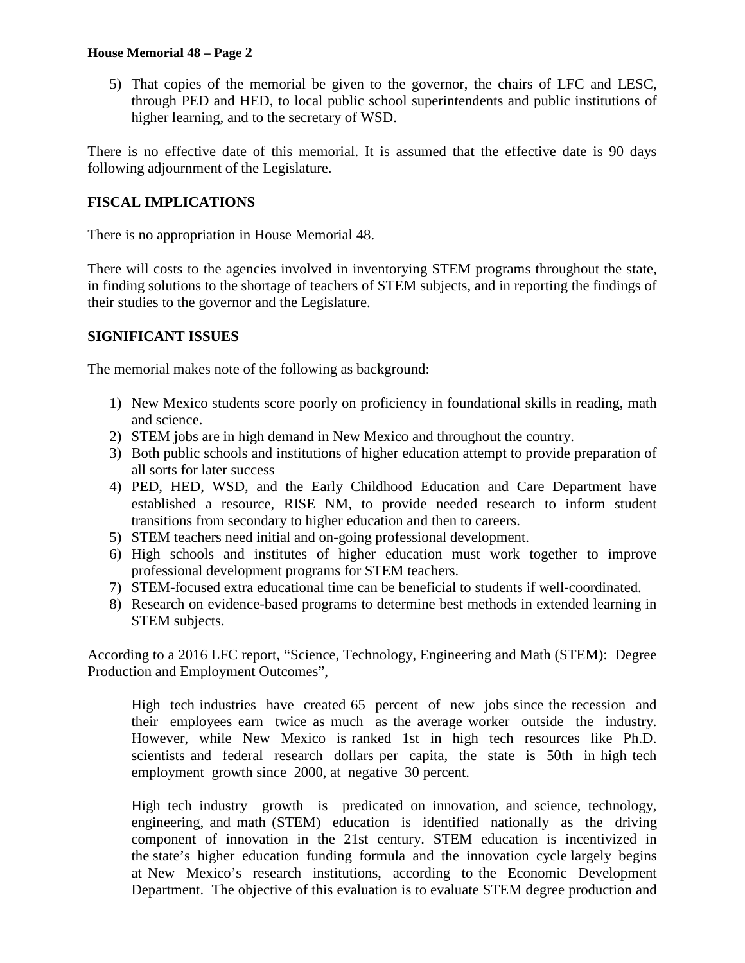## **House Memorial 48 – Page 2**

5) That copies of the memorial be given to the governor, the chairs of LFC and LESC, through PED and HED, to local public school superintendents and public institutions of higher learning, and to the secretary of WSD.

There is no effective date of this memorial. It is assumed that the effective date is 90 days following adjournment of the Legislature.

## **FISCAL IMPLICATIONS**

There is no appropriation in House Memorial 48.

There will costs to the agencies involved in inventorying STEM programs throughout the state, in finding solutions to the shortage of teachers of STEM subjects, and in reporting the findings of their studies to the governor and the Legislature.

### **SIGNIFICANT ISSUES**

The memorial makes note of the following as background:

- 1) New Mexico students score poorly on proficiency in foundational skills in reading, math and science.
- 2) STEM jobs are in high demand in New Mexico and throughout the country.
- 3) Both public schools and institutions of higher education attempt to provide preparation of all sorts for later success
- 4) PED, HED, WSD, and the Early Childhood Education and Care Department have established a resource, RISE NM, to provide needed research to inform student transitions from secondary to higher education and then to careers.
- 5) STEM teachers need initial and on-going professional development.
- 6) High schools and institutes of higher education must work together to improve professional development programs for STEM teachers.
- 7) STEM-focused extra educational time can be beneficial to students if well-coordinated.
- 8) Research on evidence-based programs to determine best methods in extended learning in STEM subjects.

According to a 2016 LFC report, "Science, Technology, Engineering and Math (STEM): Degree Production and Employment Outcomes",

High tech industries have created 65 percent of new jobs since the recession and their employees earn twice as much as the average worker outside the industry. However, while New Mexico is ranked 1st in high tech resources like Ph.D. scientists and federal research dollars per capita, the state is 50th in high tech employment growth since 2000, at negative 30 percent.

High tech industry growth is predicated on innovation, and science, technology, engineering, and math (STEM) education is identified nationally as the driving component of innovation in the 21st century. STEM education is incentivized in the state's higher education funding formula and the innovation cycle largely begins at New Mexico's research institutions, according to the Economic Development Department. The objective of this evaluation is to evaluate STEM degree production and